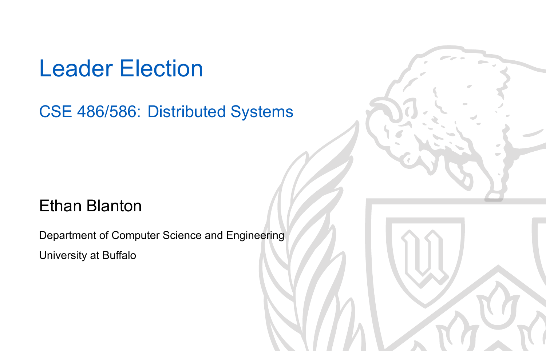### Leader Election

#### CSE 486/586: Distributed Systems

#### Ethan Blanton

Department of Computer Science and Engineering University at Buffalo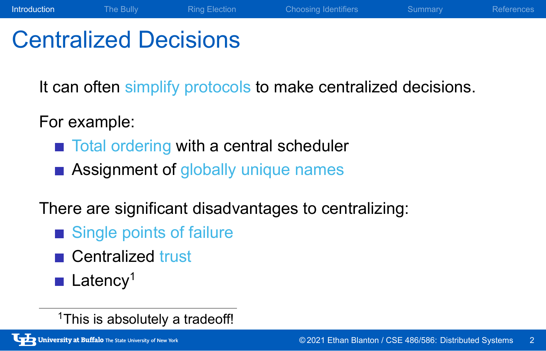### Centralized Decisions

It can often simplify protocols to make centralized decisions.

Introduction The Bully Ring Election Choosing Identifiers Summary References

For example:

- Total ordering with a central scheduler
- **Assignment of globally unique names**

#### There are significant disadvantages to centralizing:

- Single points of failure
- Centralized trust
- **Latency<sup>1</sup>**

<sup>1</sup>This is absolutely a tradeoff!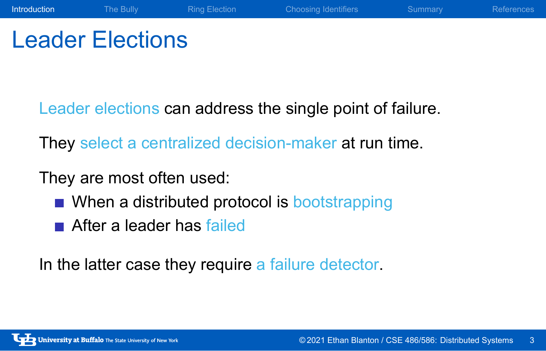### Leader Elections

Leader elections can address the single point of failure.

Introduction The Bully Ring Election Choosing Identifiers Summary References

They select a centralized decision-maker at run time.

They are most often used:

- When a distributed protocol is bootstrapping
- After a leader has failed

In the latter case they require a failure detector.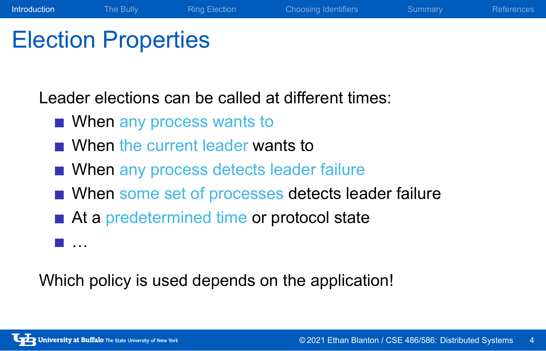### Election Properties

Leader elections can be called at different times:

- When any process wants to
- When the current leader wants to
- When any process detects leader failure
- When some set of processes detects leader failure

Introduction The Bully Ring Election Choosing Identifiers Summary References

- At a predetermined time or protocol state
- …

Which policy is used depends on the application!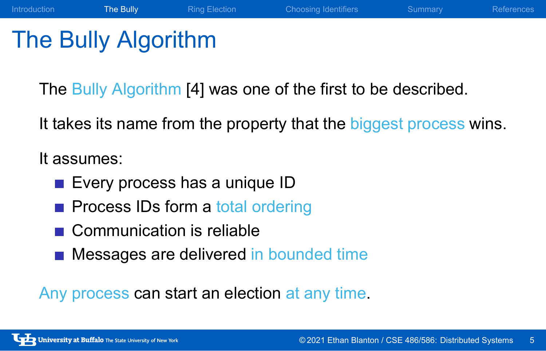### The Bully Algorithm

The Bully Algorithm [4] was one of the first to be described.

It takes its name from the property that the biggest process wins.

Introduction The Bully Ring Election Choosing Identifiers Summary References

It assumes:

- **Every process has a unique ID**
- **Process IDs form a total ordering**
- Communication is reliable
- **Messages are delivered in bounded time**

Any process can start an election at any time.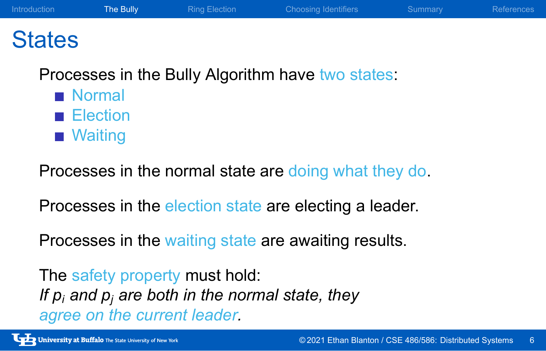Introduction The Bully Ring Election Choosing Identifiers Summary References

#### **States**

Processes in the Bully Algorithm have two states:

- Normal
- **Election**
- **Naiting**

Processes in the normal state are doing what they do.

Processes in the election state are electing a leader.

Processes in the waiting state are awaiting results.

The safety property must hold: *If p<sup>i</sup> and p<sup>j</sup> are both in the normal state, they agree on the current leader.*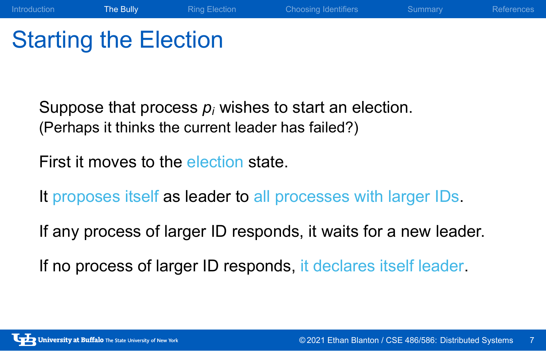### Starting the Election

Suppose that process *p<sup>i</sup>* wishes to start an election. (Perhaps it thinks the current leader has failed?)

First it moves to the election state.

It proposes itself as leader to all processes with larger IDs.

If any process of larger ID responds, it waits for a new leader.

Introduction The Bully Ring Election Choosing Identifiers Summary References

If no process of larger ID responds, it declares itself leader.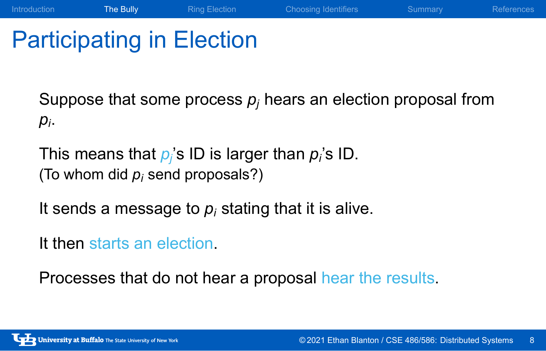### Participating in Election

Suppose that some process  $p_j$  hears an election proposal from *pi* .

Introduction The Bully Ring Election Choosing Identifiers Summary References

This means that *p<sup>j</sup>* 's ID is larger than *p<sup>i</sup>* 's ID. (To whom did *p<sup>i</sup>* send proposals?)

It sends a message to *p<sup>i</sup>* stating that it is alive.

It then starts an election.

Processes that do not hear a proposal hear the results.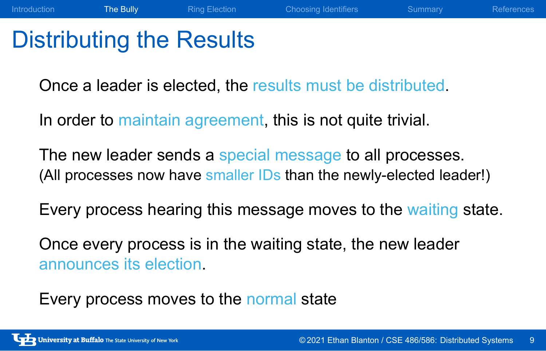### Distributing the Results

Once a leader is elected, the results must be distributed.

In order to maintain agreement, this is not quite trivial.

The new leader sends a special message to all processes. (All processes now have smaller IDs than the newly-elected leader!)

Introduction The Bully Ring Election Choosing Identifiers Summary References

Every process hearing this message moves to the waiting state.

Once every process is in the waiting state, the new leader announces its election.

Every process moves to the normal state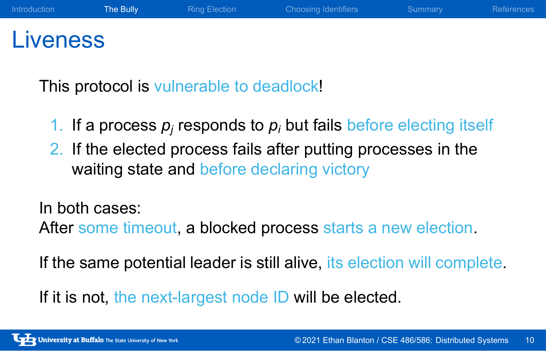# Liveness

This protocol is vulnerable to deadlock!

1. If a process  $p_j$  responds to  $p_i$  but fails before electing itself

Introduction The Bully Ring Election Choosing Identifiers Summary References

2. If the elected process fails after putting processes in the waiting state and before declaring victory

In both cases:

After some timeout, a blocked process starts a new election.

If the same potential leader is still alive, its election will complete.

If it is not, the next-largest node ID will be elected.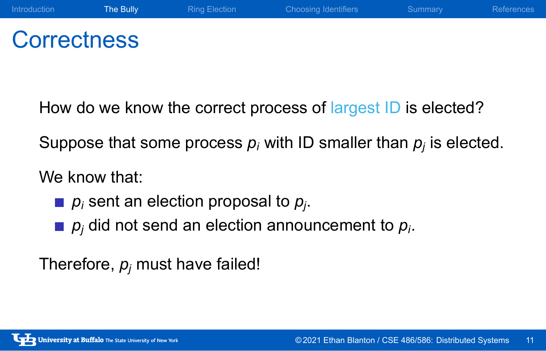#### Introduction The Bully Ring Election Choosing Identifiers Summary References

### **Correctness**

How do we know the correct process of largest ID is elected?

Suppose that some process *p<sup>i</sup>* with ID smaller than *p<sup>j</sup>* is elected.

We know that:

- *p<sup>i</sup>* sent an election proposal to *p<sup>j</sup>* .
- *p<sup>j</sup>* did not send an election announcement to *p<sup>i</sup>* .

Therefore, *p<sup>j</sup>* must have failed!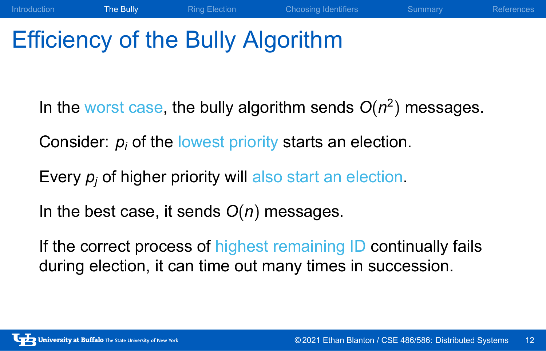### Efficiency of the Bully Algorithm

In the worst case, the bully algorithm sends  $O(n^2)$  messages.

Introduction The Bully Ring Election Choosing Identifiers Summary References

Consider: *p<sup>i</sup>* of the lowest priority starts an election.

Every  $p_j$  of higher priority will also start an election.

In the best case, it sends *O*(*n*) messages.

If the correct process of highest remaining ID continually fails during election, it can time out many times in succession.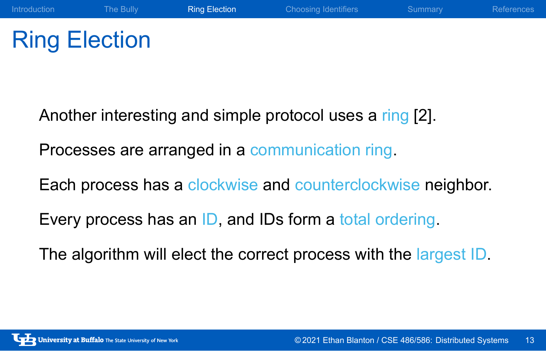### Ring Election

Another interesting and simple protocol uses a ring [2].

Processes are arranged in a communication ring.

Each process has a clockwise and counterclockwise neighbor.

Introduction The Bully **Ring Election** Choosing Identifiers Summary References

Every process has an ID, and IDs form a total ordering.

The algorithm will elect the correct process with the largest ID.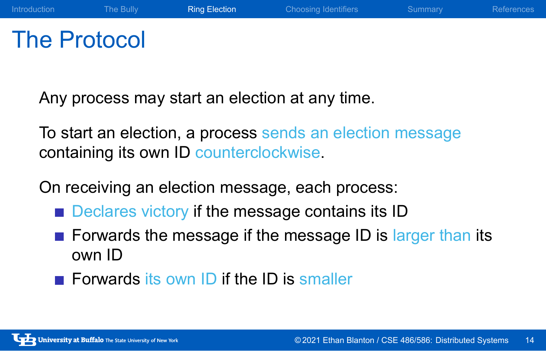### The Protocol

Any process may start an election at any time.

To start an election, a process sends an election message containing its own ID counterclockwise.

Introduction The Bully **Ring Election** Choosing Identifiers Summary References

On receiving an election message, each process:

- Declares victory if the message contains its ID
- Forwards the message if the message ID is larger than its own ID
- Forwards its own ID if the ID is smaller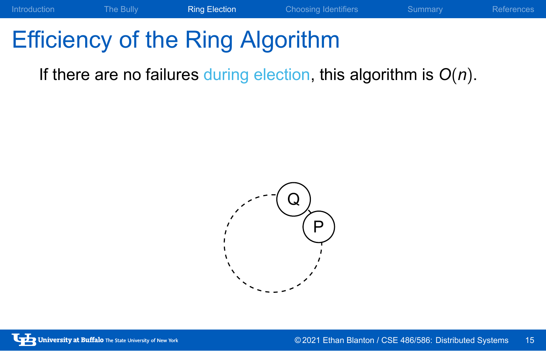If there are no failures during election, this algorithm is *O*(*n*).

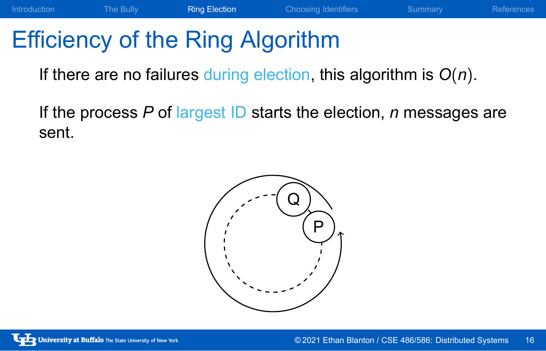If there are no failures during election, this algorithm is *O*(*n*).

If the process *P* of largest ID starts the election, *n* messages are sent.

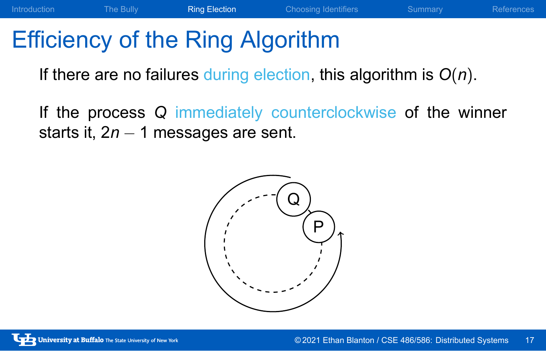If there are no failures during election, this algorithm is *O*(*n*).

If the process *Q* immediately counterclockwise of the winner starts it, 2*n −* 1 messages are sent.

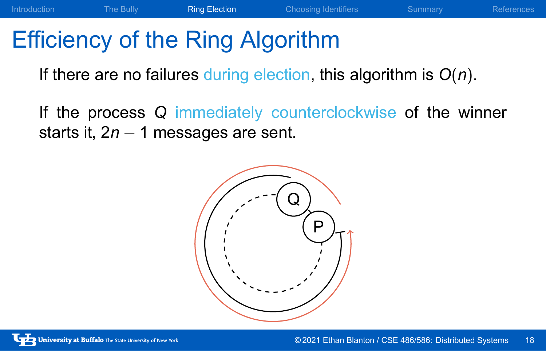If there are no failures during election, this algorithm is *O*(*n*).

If the process *Q* immediately counterclockwise of the winner starts it, 2*n −* 1 messages are sent.

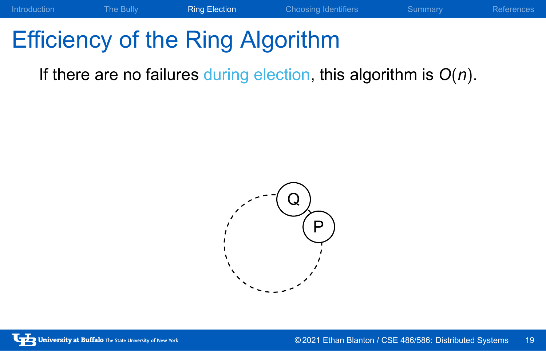If there are no failures during election, this algorithm is *O*(*n*).

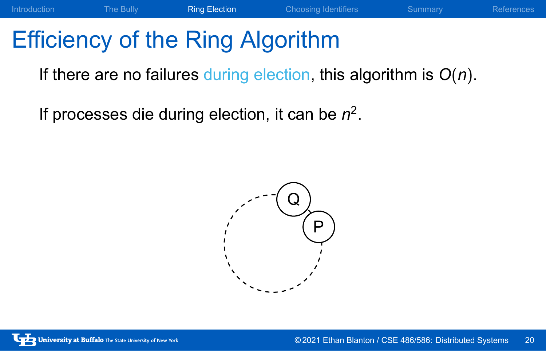If there are no failures during election, this algorithm is *O*(*n*).

Introduction The Bully **Ring Election** Choosing Identifiers Summary References

If processes die during election, it can be *n* 2 .

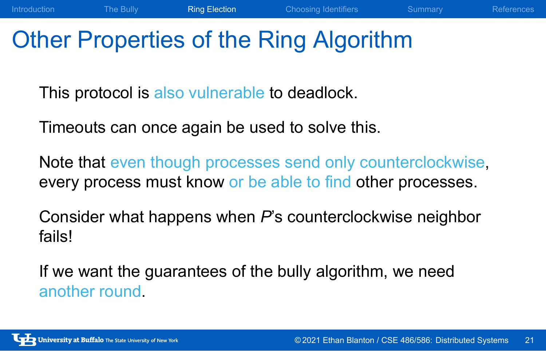### Other Properties of the Ring Algorithm

This protocol is also vulnerable to deadlock.

Timeouts can once again be used to solve this.

Note that even though processes send only counterclockwise, every process must know or be able to find other processes.

Introduction The Bully **Ring Election** Choosing Identifiers Summary References

Consider what happens when *P*'s counterclockwise neighbor fails!

If we want the guarantees of the bully algorithm, we need another round.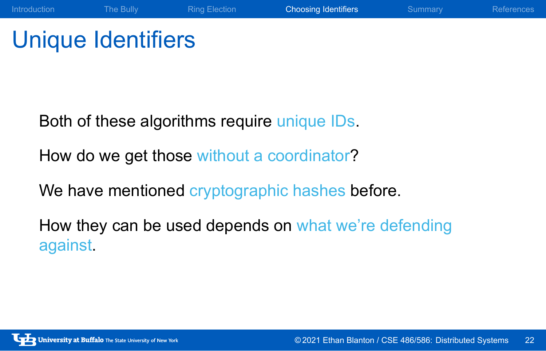## Unique Identifiers

Both of these algorithms require unique IDs.

How do we get those without a coordinator?

We have mentioned cryptographic hashes before.

How they can be used depends on what we're defending against.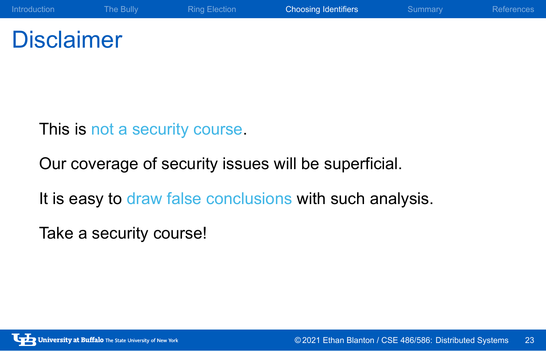### **Disclaimer**

This is not a security course.

Our coverage of security issues will be superficial.

It is easy to draw false conclusions with such analysis.

Introduction The Bully Ring Election Choosing Identifiers Summary References

Take a security course!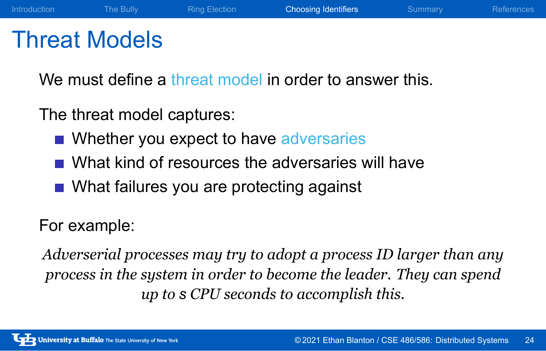#### Threat Models

We must define a threat model in order to answer this.

Introduction The Bully Ring Election Choosing Identifiers Summary References

The threat model captures:

- Whether you expect to have adversaries
- What kind of resources the adversaries will have
- **Nhat failures you are protecting against**

#### For example:

*Adverserial processes may try to adopt a process ID larger than any process in the system in order to become the leader. They can spend up to s CPU seconds to accomplish this.*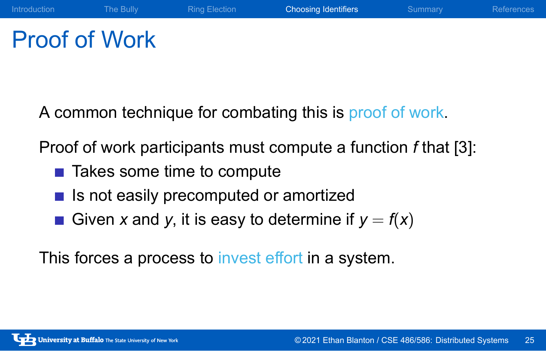### Proof of Work

A common technique for combating this is proof of work.

Proof of work participants must compute a function *f* that [3]:

Introduction The Bully Ring Election Choosing Identifiers Summary References

- Takes some time to compute
- $\blacksquare$  Is not easily precomputed or amortized
- Given *x* and *y*, it is easy to determine if  $y = f(x)$

This forces a process to invest effort in a system.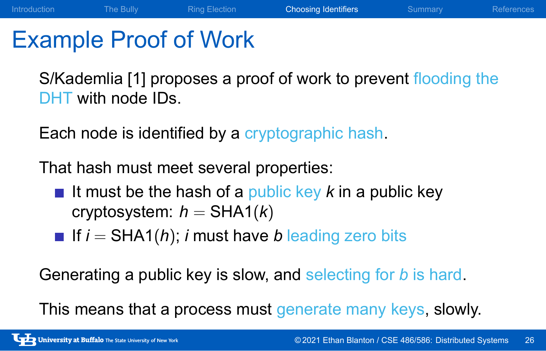#### Example Proof of Work

S/Kademlia [1] proposes a proof of work to prevent flooding the DHT with node IDs.

Introduction The Bully Ring Election Choosing Identifiers Summary References

Each node is identified by a cryptographic hash.

That hash must meet several properties:

- If must be the hash of a public key  $k$  in a public key cryptosystem:  $h = \text{SHA1}(k)$
- If  $i = \text{SHA1}(h)$ ; *i* must have *b* leading zero bits

Generating a public key is slow, and selecting for *b* is hard.

This means that a process must generate many keys, slowly.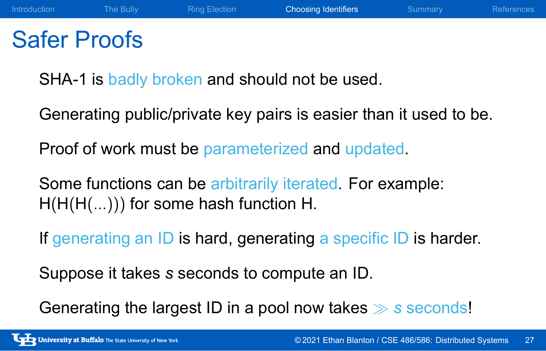#### Safer Proofs

SHA-1 is badly broken and should not be used.

Generating public/private key pairs is easier than it used to be.

Introduction The Bully Ring Election Choosing Identifiers Summary References

Proof of work must be parameterized and updated.

Some functions can be arbitrarily iterated. For example: H(H(H(*...*))) for some hash function H.

If generating an ID is hard, generating a specific ID is harder.

Suppose it takes *s* seconds to compute an ID.

Generating the largest ID in a pool now takes *≫ s* seconds!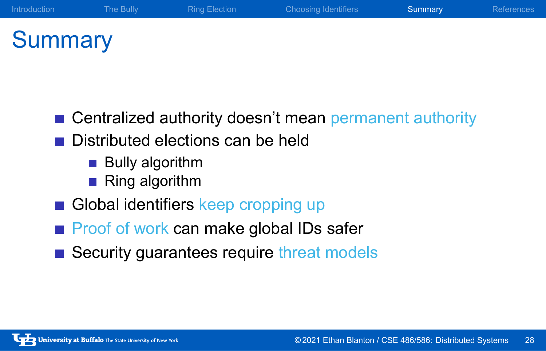### **Summary**

■ Centralized authority doesn't mean permanent authority

- Distributed elections can be held
	- **Bully algorithm**
	- Ring algorithm
- Global identifiers keep cropping up
- Proof of work can make global IDs safer
- Security guarantees require threat models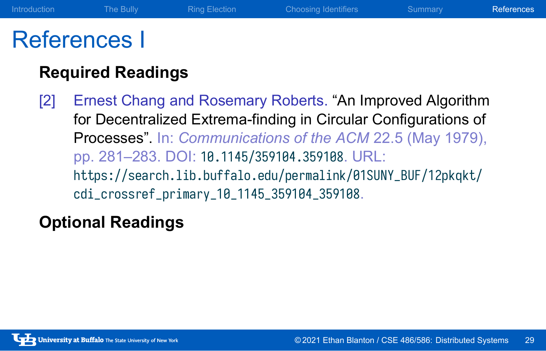#### References I

#### **Required Readings**

[2] Ernest Chang and Rosemary Roberts. "An Improved Algorithm for Decentralized Extrema-finding in Circular Configurations of Processes". In: *Communications of the ACM* 22.5 (May 1979), pp. 281–283. DOI: 10.1145/359104.359108. URL: https://search.lib.buffalo.edu/permalink/01SUNY\_BUF/12pkqkt/ cdi\_crossref\_primary\_10\_1145\_359104\_359108.

Introduction The Bully Ring Election Choosing Identifiers Summary References

#### **Optional Readings**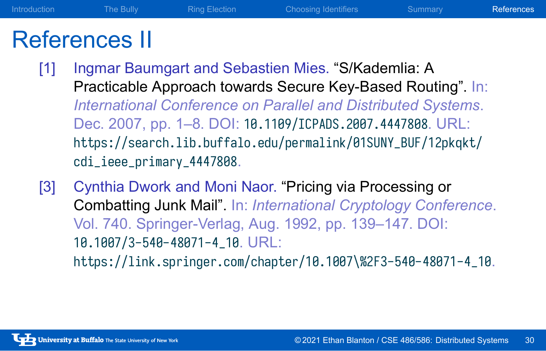#### References II

[1] Ingmar Baumgart and Sebastien Mies. "S/Kademlia: A Practicable Approach towards Secure Key-Based Routing". In: *International Conference on Parallel and Distributed Systems*. Dec. 2007, pp. 1–8. DOI: 10.1109/ICPADS.2007.4447808. URL: https://search.lib.buffalo.edu/permalink/01SUNY\_BUF/12pkqkt/ cdi\_ieee\_primary\_4447808.

Introduction The Bully Ring Election Choosing Identifiers Summary References

[3] Cynthia Dwork and Moni Naor. "Pricing via Processing or Combatting Junk Mail". In: *International Cryptology Conference*. Vol. 740. Springer-Verlag, Aug. 1992, pp. 139–147. DOI: 10.1007/3-540-48071-4\_10. URL: https://link.springer.com/chapter/10.1007\%2F3-540-48071-4\_10.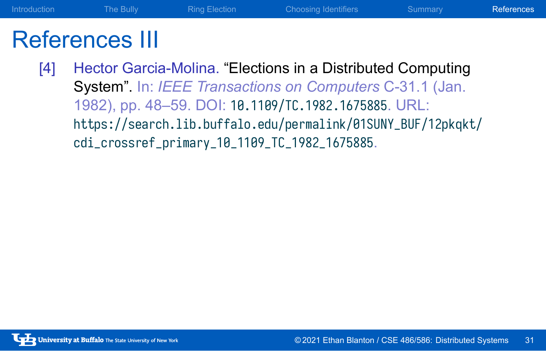#### References III

[4] Hector Garcia-Molina. "Elections in a Distributed Computing System". In: *IEEE Transactions on Computers* C-31.1 (Jan. 1982), pp. 48–59. DOI: 10.1109/TC.1982.1675885. URL: https://search.lib.buffalo.edu/permalink/01SUNY\_BUF/12pkqkt/ cdi\_crossref\_primary\_10\_1109\_TC\_1982\_1675885.